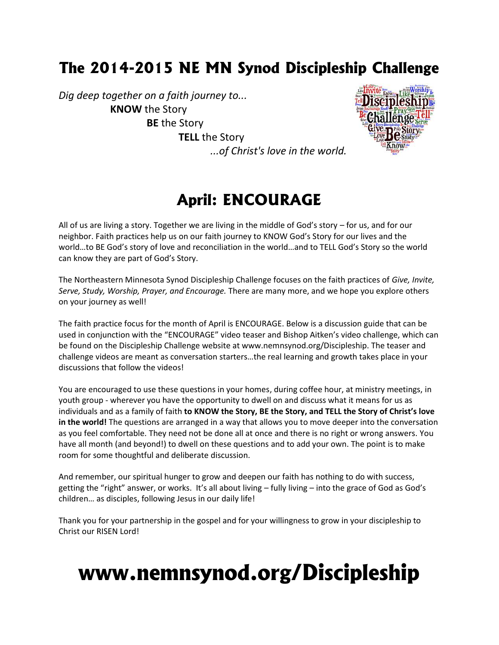### **The 2014-2015 NE MN Synod Discipleship Challenge**

*Dig deep together on a faith journey to...* **KNOW** the Story **BE** the Story **TELL** the Story



# *...of Christ's love in the world.*

### **April: ENCOURAGE**

All of us are living a story. Together we are living in the middle of God's story – for us, and for our neighbor. Faith practices help us on our faith journey to KNOW God's Story for our lives and the world…to BE God's story of love and reconciliation in the world…and to TELL God's Story so the world can know they are part of God's Story.

The Northeastern Minnesota Synod Discipleship Challenge focuses on the faith practices of *Give, Invite, Serve, Study, Worship, Prayer, and Encourage.* There are many more, and we hope you explore others on your journey as well!

The faith practice focus for the month of April is ENCOURAGE. Below is a discussion guide that can be used in conjunction with the "ENCOURAGE" video teaser and Bishop Aitken's video challenge, which can be found on the Discipleship Challenge website at www.nemnsynod.org/Discipleship. The teaser and challenge videos are meant as conversation starters…the real learning and growth takes place in your discussions that follow the videos!

You are encouraged to use these questions in your homes, during coffee hour, at ministry meetings, in youth group - wherever you have the opportunity to dwell on and discuss what it means for us as individuals and as a family of faith **to KNOW the Story, BE the Story, and TELL the Story of Christ's love in the world!** The questions are arranged in a way that allows you to move deeper into the conversation as you feel comfortable. They need not be done all at once and there is no right or wrong answers. You have all month (and beyond!) to dwell on these questions and to add your own. The point is to make room for some thoughtful and deliberate discussion.

And remember, our spiritual hunger to grow and deepen our faith has nothing to do with success, getting the "right" answer, or works. It's all about living – fully living – into the grace of God as God's children… as disciples, following Jesus in our daily life!

Thank you for your partnership in the gospel and for your willingness to grow in your discipleship to Christ our RISEN Lord!

# **www.nemnsynod.org/Discipleship**